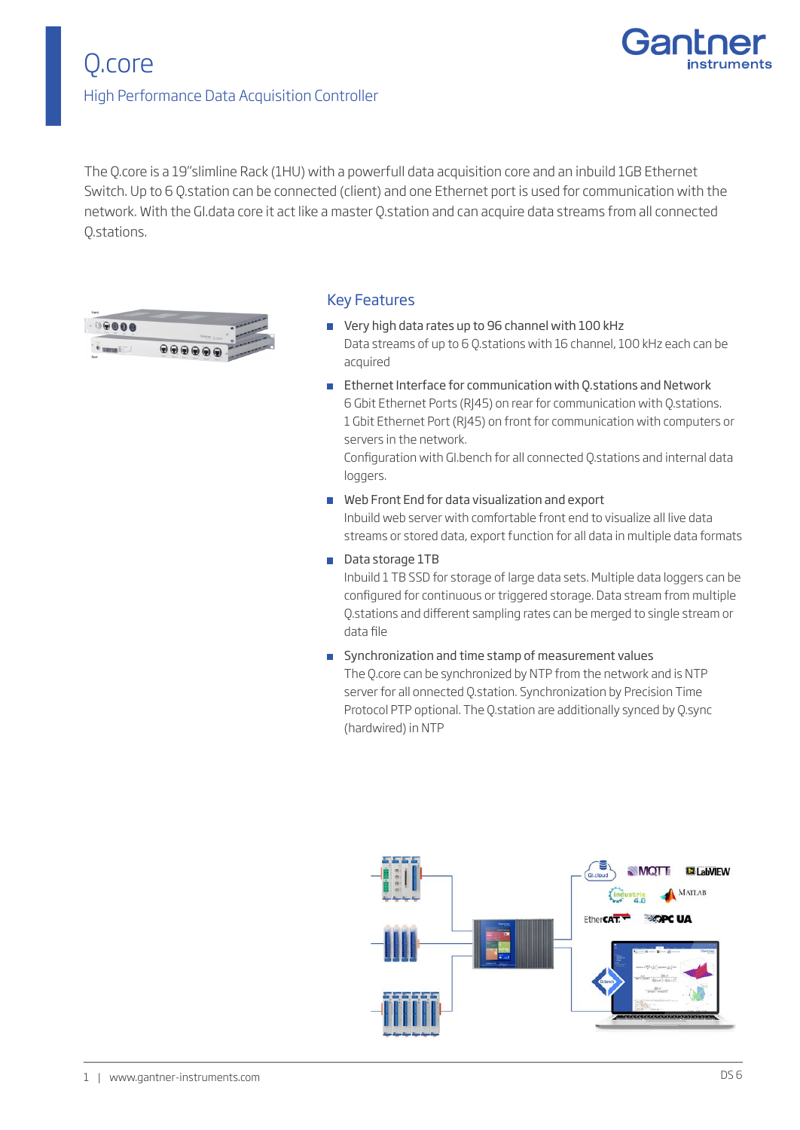

The Q.core is a 19"slimline Rack (1HU) with a powerfull data acquisition core and an inbuild 1GB Ethernet Switch. Up to 6 Q.station can be connected (client) and one Ethernet port is used for communication with the network. With the GI.data core it act like a master Q.station and can acquire data streams from all connected Q.stations.



#### Key Features

- Very high data rates up to 96 channel with 100 kHz Data streams of up to 6 Q.stations with 16 channel, 100 kHz each can be acquired
- Ethernet Interface for communication with Q.stations and Network 6 Gbit Ethernet Ports (RJ45) on rear for communication with Q.stations. 1 Gbit Ethernet Port (RJ45) on front for communication with computers or servers in the network.

Configuration with GI.bench for all connected Q.stations and internal data loggers.

- Web Front End for data visualization and export Inbuild web server with comfortable front end to visualize all live data streams or stored data, export function for all data in multiple data formats
- Data storage 1TB

Inbuild 1 TB SSD for storage of large data sets. Multiple data loggers can be configured for continuous or triggered storage. Data stream from multiple Q.stations and different sampling rates can be merged to single stream or data file

Synchronization and time stamp of measurement values The Q.core can be synchronized by NTP from the network and is NTP server for all onnected Q.station. Synchronization by Precision Time Protocol PTP optional. The Q.station are additionally synced by Q.sync (hardwired) in NTP

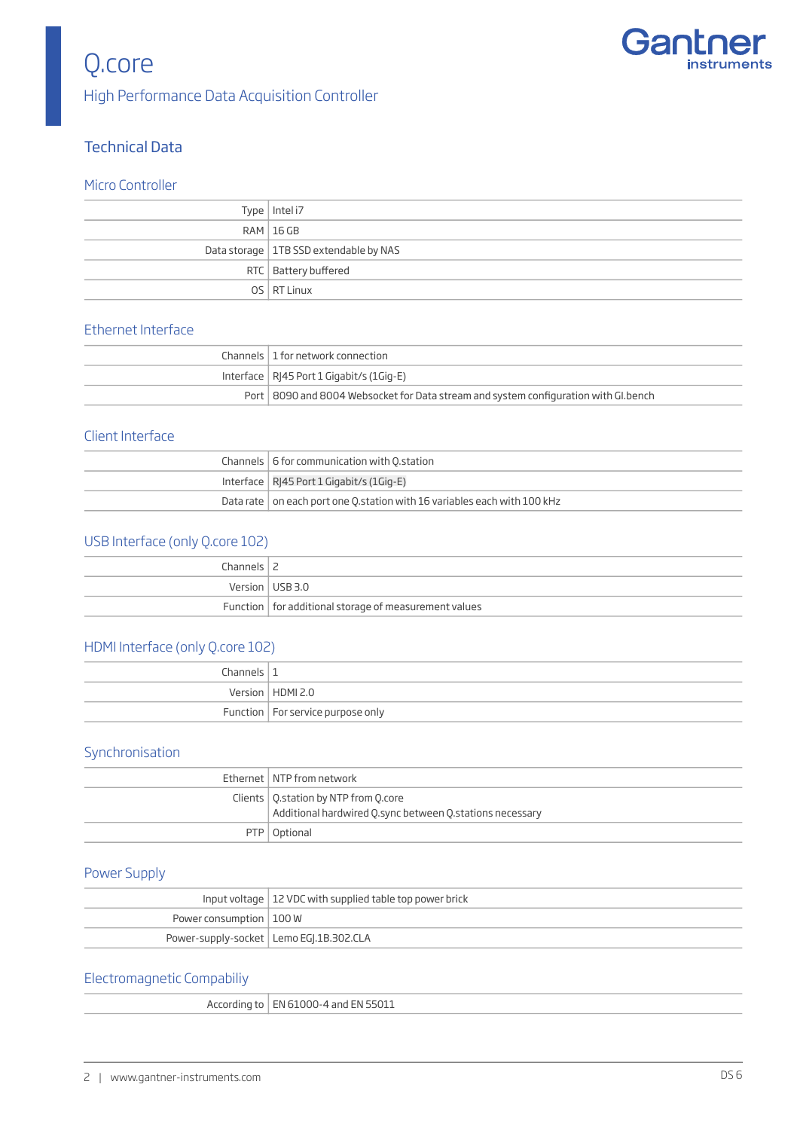

## Q.core High Performance Data Acquisition Controller

## Technical Data

#### Micro Controller

| Type   Intel i7                          |
|------------------------------------------|
| <b>RAM   16 GB</b>                       |
| Data storage   1TB SSD extendable by NAS |
| RTC   Battery buffered                   |
| OS RT Linux                              |

#### Ethernet Interface

| Channels   1 for network connection                                                   |
|---------------------------------------------------------------------------------------|
| Interface   $R$  45 Port 1 Gigabit/s (1Gig-E)                                         |
| Port   8090 and 8004 Websocket for Data stream and system configuration with Gl.bench |

#### Client Interface

| Channels   6 for communication with O.station                                    |
|----------------------------------------------------------------------------------|
| Interface   RI45 Port 1 Gigabit/s (1Gig-E)                                       |
| Data rate $\vert$ on each port one Q station with 16 variables each with 100 kHz |

## USB Interface (only Q.core 102)

| Channels $\vert$ 2 |                                                         |
|--------------------|---------------------------------------------------------|
|                    | Version USB 3.0                                         |
|                    | Function   for additional storage of measurement values |

## HDMI Interface (only Q.core 102)

| Channels $\vert$ 1 |                                     |
|--------------------|-------------------------------------|
|                    | Version   HDMI 2.0                  |
|                    | Function   For service purpose only |

## Synchronisation

| Ethernet   NTP from network                              |
|----------------------------------------------------------|
| Clients   Q.station by NTP from Q.core                   |
| Additional hardwired Q.sync between Q.stations necessary |
| PTP   Optional                                           |

## Power Supply

|                           | Input voltage   12 VDC with supplied table top power brick |
|---------------------------|------------------------------------------------------------|
| Power consumption   100 W |                                                            |
|                           | Power-supply-socket   Lemo EGI.1B.302.CLA                  |

#### Electromagnetic Compabiliy

| According to   EN 61000-4 and EN 55011 |  |
|----------------------------------------|--|
|----------------------------------------|--|